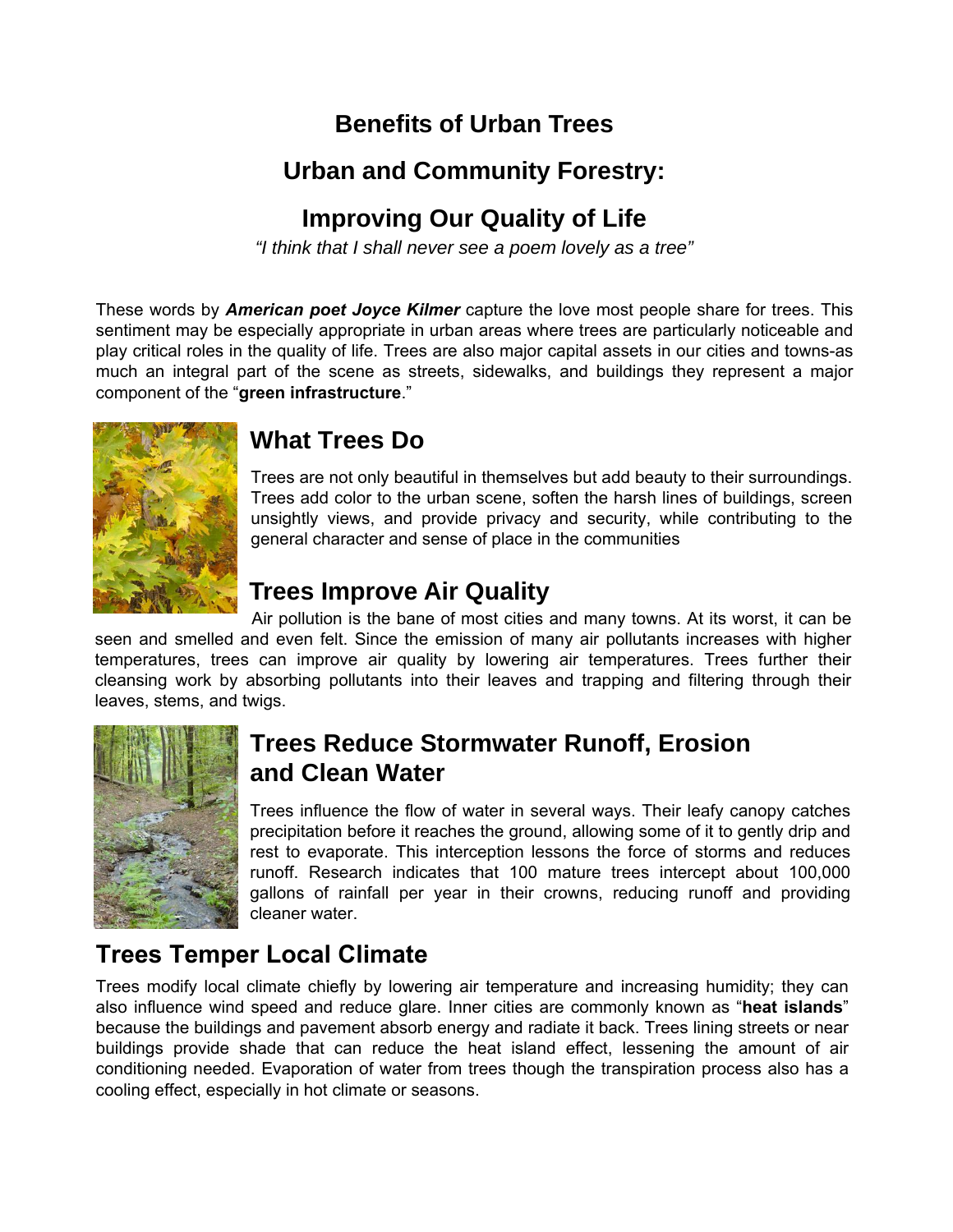## **Benefits of Urban Trees**

### **Urban and Community Forestry:**

### **Improving Our Quality of Life**

*"I think that I shall never see a poem lovely as a tree"* 

These words by *American poet Joyce Kilmer* capture the love most people share for trees. This sentiment may be especially appropriate in urban areas where trees are particularly noticeable and play critical roles in the quality of life. Trees are also major capital assets in our cities and towns-as much an integral part of the scene as streets, sidewalks, and buildings they represent a major component of the "**green infrastructure**."



## **What Trees Do**

Trees are not only beautiful in themselves but add beauty to their surroundings. Trees add color to the urban scene, soften the harsh lines of buildings, screen unsightly views, and provide privacy and security, while contributing to the general character and sense of place in the communities

# **Trees Improve Air Quality**

 Air pollution is the bane of most cities and many towns. At its worst, it can be seen and smelled and even felt. Since the emission of many air pollutants increases with higher temperatures, trees can improve air quality by lowering air temperatures. Trees further their cleansing work by absorbing pollutants into their leaves and trapping and filtering through their leaves, stems, and twigs.



#### **Trees Reduce Stormwater Runoff, Erosion and Clean Water**

Trees influence the flow of water in several ways. Their leafy canopy catches precipitation before it reaches the ground, allowing some of it to gently drip and rest to evaporate. This interception lessons the force of storms and reduces runoff. Research indicates that 100 mature trees intercept about 100,000 gallons of rainfall per year in their crowns, reducing runoff and providing cleaner water.

# **Trees Temper Local Climate**

Trees modify local climate chiefly by lowering air temperature and increasing humidity; they can also influence wind speed and reduce glare. Inner cities are commonly known as "**heat islands**" because the buildings and pavement absorb energy and radiate it back. Trees lining streets or near buildings provide shade that can reduce the heat island effect, lessening the amount of air conditioning needed. Evaporation of water from trees though the transpiration process also has a cooling effect, especially in hot climate or seasons.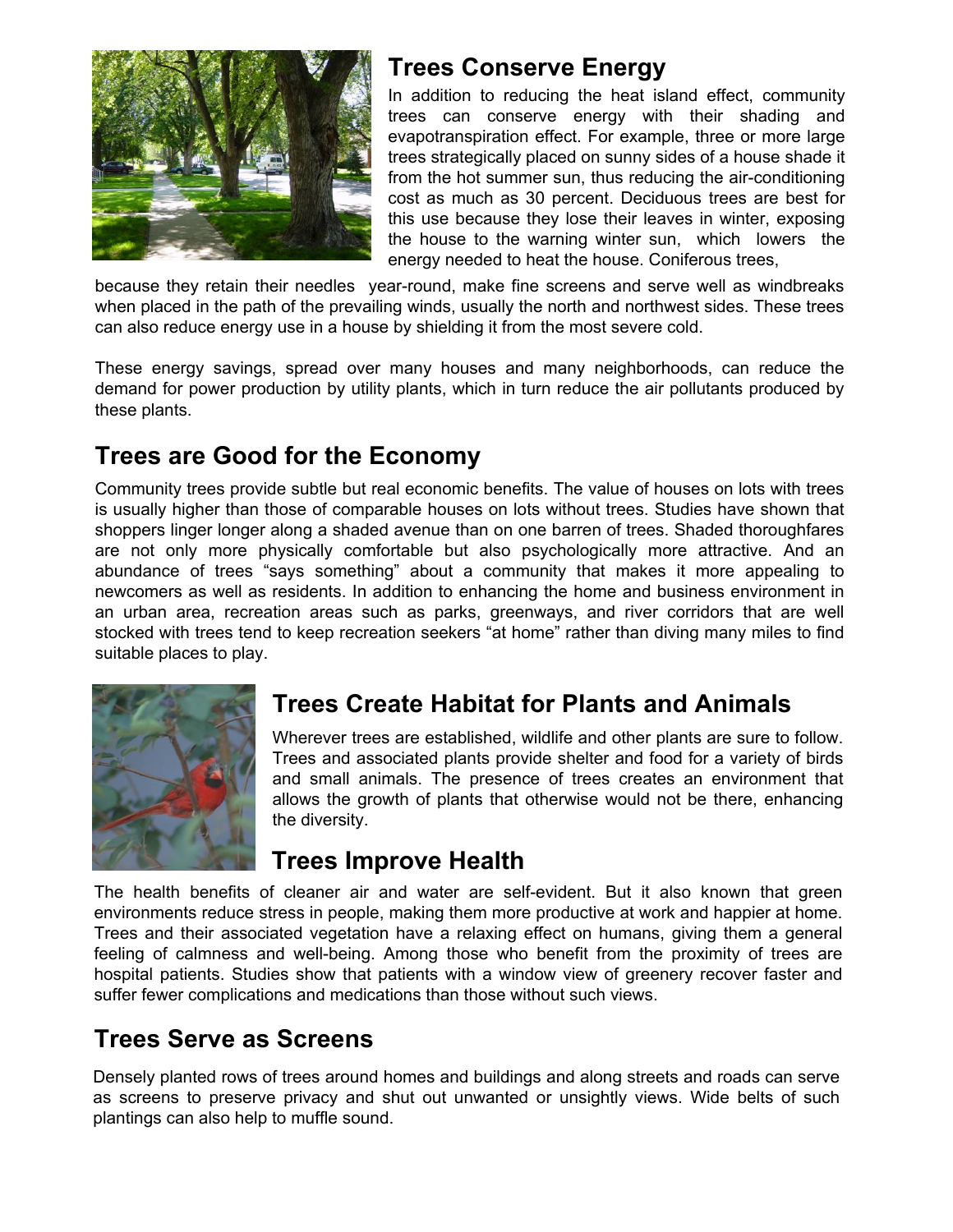

### **Trees Conserve Energy**

In addition to reducing the heat island effect, community trees can conserve energy with their shading and evapotranspiration effect. For example, three or more large trees strategically placed on sunny sides of a house shade it from the hot summer sun, thus reducing the air-conditioning cost as much as 30 percent. Deciduous trees are best for this use because they lose their leaves in winter, exposing the house to the warning winter sun, which lowers the energy needed to heat the house. Coniferous trees,

because they retain their needles year-round, make fine screens and serve well as windbreaks when placed in the path of the prevailing winds, usually the north and northwest sides. These trees can also reduce energy use in a house by shielding it from the most severe cold.

These energy savings, spread over many houses and many neighborhoods, can reduce the demand for power production by utility plants, which in turn reduce the air pollutants produced by these plants.

# **Trees are Good for the Economy**

Community trees provide subtle but real economic benefits. The value of houses on lots with trees is usually higher than those of comparable houses on lots without trees. Studies have shown that shoppers linger longer along a shaded avenue than on one barren of trees. Shaded thoroughfares are not only more physically comfortable but also psychologically more attractive. And an abundance of trees "says something" about a community that makes it more appealing to newcomers as well as residents. In addition to enhancing the home and business environment in an urban area, recreation areas such as parks, greenways, and river corridors that are well stocked with trees tend to keep recreation seekers "at home" rather than diving many miles to find suitable places to play.



# **Trees Create Habitat for Plants and Animals**

Wherever trees are established, wildlife and other plants are sure to follow. Trees and associated plants provide shelter and food for a variety of birds and small animals. The presence of trees creates an environment that allows the growth of plants that otherwise would not be there, enhancing the diversity.

#### **Trees Improve Health**

The health benefits of cleaner air and water are self-evident. But it also known that green environments reduce stress in people, making them more productive at work and happier at home. Trees and their associated vegetation have a relaxing effect on humans, giving them a general feeling of calmness and well-being. Among those who benefit from the proximity of trees are hospital patients. Studies show that patients with a window view of greenery recover faster and suffer fewer complications and medications than those without such views.

## **Trees Serve as Screens**

Densely planted rows of trees around homes and buildings and along streets and roads can serve as screens to preserve privacy and shut out unwanted or unsightly views. Wide belts of such plantings can also help to muffle sound.